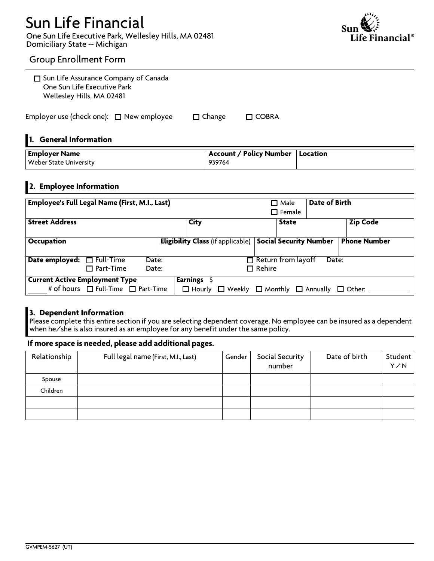# **Sun Life Financial**

**One Sun Life Executive Park, Wellesley Hills, MA 02481 Domiciliary State -- Michigan**



### **Group Enrollment Form**

| □ Sun Life Assurance Company of Canada<br>One Sun Life Executive Park<br>Wellesley Hills, MA 02481 |             |                                          |                                 |               |                     |
|----------------------------------------------------------------------------------------------------|-------------|------------------------------------------|---------------------------------|---------------|---------------------|
| Employer use (check one): $\Box$ New employee                                                      |             | $\Box$ Change                            | $\Box$ COBRA                    |               |                     |
| 1. General Information                                                                             |             |                                          |                                 |               |                     |
| <b>Employer Name</b><br><b>Weber State University</b>                                              |             | <b>Account / Policy Number</b><br>939764 |                                 | Location      |                     |
| 2. Employee Information                                                                            |             |                                          |                                 |               |                     |
| <b>Employee's Full Legal Name (First, M.I., Last)</b>                                              |             |                                          | $\Box$ Male<br>$\square$ Female | Date of Birth |                     |
| <b>Street Address</b>                                                                              | <b>City</b> |                                          | <b>State</b>                    |               | <b>Zip Code</b>     |
| Occupation                                                                                         |             | <b>Eligibility Class</b> (if applicable) | <b>Social Security Number</b>   |               | <b>Phone Number</b> |
| $\Box$ Full-Time<br>Date employed:                                                                 | Date:       |                                          | $\Box$ Return from layoff       | Date:         |                     |

#### <sup>o</sup> **Part-Time Date:** <sup>o</sup> **Rehire Current Active Employment Type** # of hours □ Full-Time □ Part-Time **Earnings \$**  $\Box$  Hourly  $\Box$  Weekly  $\Box$  Monthly  $\Box$  Annually  $\Box$  Other:

#### **3. Dependent Information**

Please complete this entire section if you are selecting dependent coverage. No employee can be insured as a dependent **when he/she is also insured as an employee for any benefit under the same policy.**

# **If more space is needed, please add additional pages.**

| Relationship | Full legal name (First, M.I., Last) | Gender | Social Security<br>number | Date of birth | Student<br>Y/N |
|--------------|-------------------------------------|--------|---------------------------|---------------|----------------|
| Spouse       |                                     |        |                           |               |                |
| Children     |                                     |        |                           |               |                |
|              |                                     |        |                           |               |                |
|              |                                     |        |                           |               |                |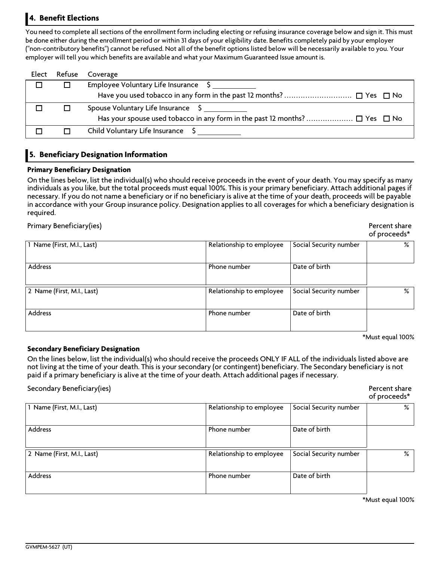# **4. Benefit Elections**

You need to complete all sections of the enrollment form including electing or refusing insurance coverage below and sign it. This must be done either during the enrollment period or within 31 days of your eligibility date. Benefits completely paid by your employer ("non-contributory benefits") cannot be refused. Not all of the benefit options listed below will be necessarily available to you. Your **employer will tell you which benefits are available and what your Maximum Guaranteed Issue amountis.**

| Elect | Refuse | Coverage                             |
|-------|--------|--------------------------------------|
|       |        | Employee Voluntary Life Insurance \$ |
|       |        |                                      |
|       |        | Spouse Voluntary Life Insurance \$   |
|       |        |                                      |
|       |        | Child Voluntary Life Insurance       |

#### **5. Beneficiary Designation Information**

#### **Primary Beneficiary Designation**

On the lines below, list the individual(s) who should receive proceeds in the event of your death. You may specify as many individuals as you like, but the total proceeds must equal 100%. This is your primary beneficiary. Attach additional pages if necessary. If you do not name a beneficiary or if no beneficiary is alive at the time of your death, proceeds will be payable in accordance with your Group insurance policy. Designation applies to all coverages for which a beneficiary designation is **required.**

#### **Primary Beneficiary(ies)**

| Percent share |  |
|---------------|--|
| of proceeds*  |  |

| 1 Name (First, M.I., Last) | Relationship to employee | Social Security number | % |
|----------------------------|--------------------------|------------------------|---|
| Address                    | Phone number             | Date of birth          |   |
| 2 Name (First, M.I., Last) | Relationship to employee | Social Security number | % |
| Address                    | Phone number             | Date of birth          |   |

**\*Must equal 100%**

#### **Secondary Beneficiary Designation**

On the lines below, list the individual(s) who should receive the proceeds ONLY IF ALL of the individuals listed above are not living at the time of your death. This is your secondary (or contingent) beneficiary. The Secondary beneficiary is not paid if a primary beneficiary is alive at the time of your death. Attach additional pages if necessary.

**Secondary Beneficiary(ies) Percent share**

**of proceeds\***

| 1 Name (First, M.I., Last) | Relationship to employee | Social Security number | % |
|----------------------------|--------------------------|------------------------|---|
| Address                    | Phone number             | Date of birth          |   |
| 2 Name (First, M.I., Last) | Relationship to employee | Social Security number | ℅ |
| Address                    | Phone number             | Date of birth          |   |

**\*Must equal 100%**